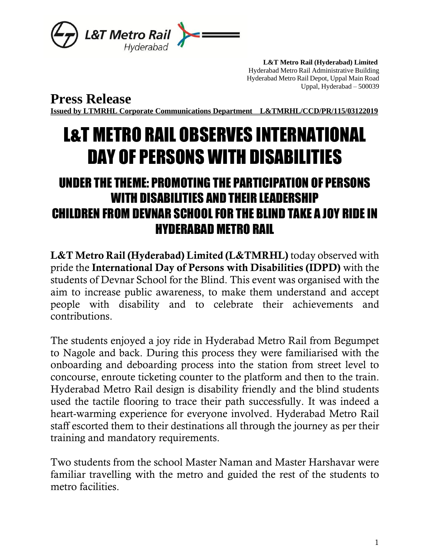

 **L&T Metro Rail (Hyderabad) Limited** Hyderabad Metro Rail Administrative Building Hyderabad Metro Rail Depot, Uppal Main Road Uppal, Hyderabad – 500039

**Press Release**

**Issued by LTMRHL Corporate Communications Department L&TMRHL/CCD/PR/115/03122019**

## L&T METRO RAIL OBSERVES INTERNATIONAL DAY OF PERSONS WITH DISABILITIES

## UNDER THE THEME: PROMOTING THE PARTICIPATION OF PERSONS WITH DISABILITIES AND THEIR LEADERSHIP CHILDREN FROM DEVNAR SCHOOL FOR THE BLIND TAKE A JOY RIDE IN HYDERABAD METRO RAIL

L&T Metro Rail (Hyderabad) Limited (L&TMRHL) today observed with pride the International Day of Persons with Disabilities (IDPD) with the students of Devnar School for the Blind. This event was organised with the aim to increase public awareness, to make them understand and accept people with disability and to celebrate their achievements and contributions.

The students enjoyed a joy ride in Hyderabad Metro Rail from Begumpet to Nagole and back. During this process they were familiarised with the onboarding and deboarding process into the station from street level to concourse, enroute ticketing counter to the platform and then to the train. Hyderabad Metro Rail design is disability friendly and the blind students used the tactile flooring to trace their path successfully. It was indeed a heart-warming experience for everyone involved. Hyderabad Metro Rail staff escorted them to their destinations all through the journey as per their training and mandatory requirements.

Two students from the school Master Naman and Master Harshavar were familiar travelling with the metro and guided the rest of the students to metro facilities.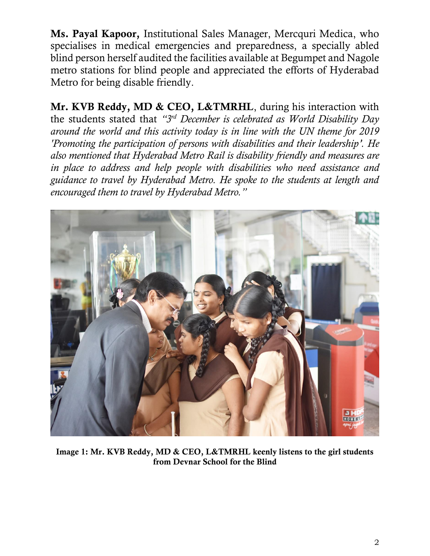Ms. Payal Kapoor, Institutional Sales Manager, Mercquri Medica, who specialises in medical emergencies and preparedness, a specially abled blind person herself audited the facilities available at Begumpet and Nagole metro stations for blind people and appreciated the efforts of Hyderabad Metro for being disable friendly.

Mr. KVB Reddy, MD & CEO, L&TMRHL, during his interaction with the students stated that *"3 rd December is celebrated as World Disability Day around the world and this activity today is in line with the UN theme for 2019 'Promoting the participation of persons with disabilities and their leadership'. He also mentioned that Hyderabad Metro Rail is disability friendly and measures are in place to address and help people with disabilities who need assistance and guidance to travel by Hyderabad Metro. He spoke to the students at length and encouraged them to travel by Hyderabad Metro."*



Image 1: Mr. KVB Reddy, MD & CEO, L&TMRHL keenly listens to the girl students from Devnar School for the Blind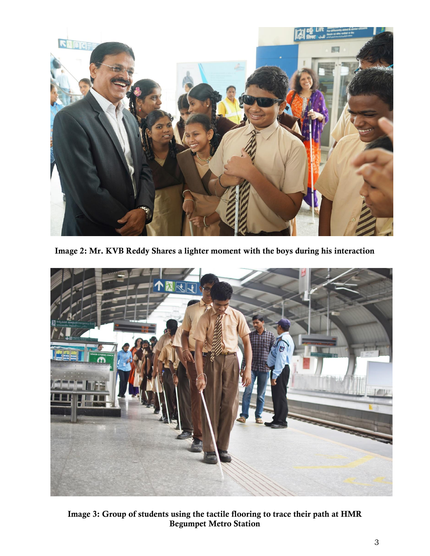

Image 2: Mr. KVB Reddy Shares a lighter moment with the boys during his interaction



Image 3: Group of students using the tactile flooring to trace their path at HMR Begumpet Metro Station